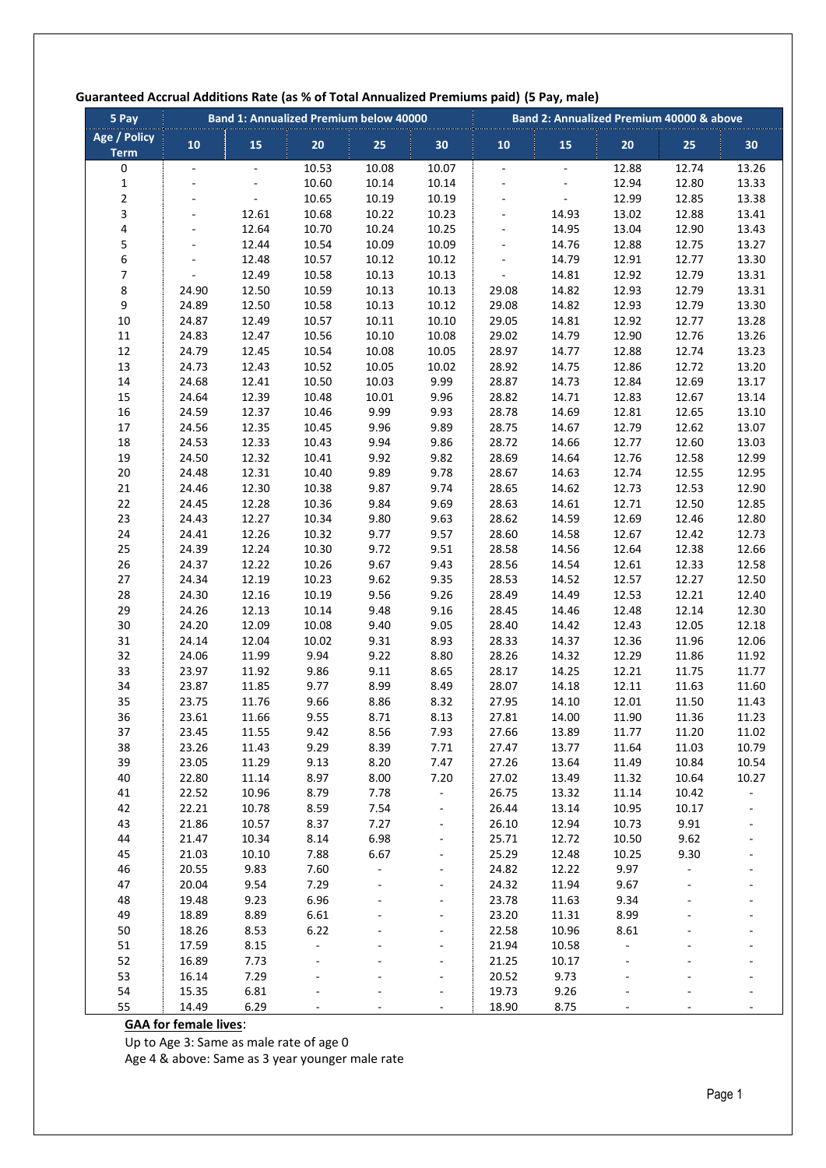| 5 Pay                              |                          |                | <b>Band 1: Annualized Premium below 40000</b> |                |                              | uaranteed Accidal Additions nate (as 70 or Total Annualized Fremiums paid) (3 Fay, male)<br>Band 2: Annualized Premium 40000 & above |                |                |                |                |  |
|------------------------------------|--------------------------|----------------|-----------------------------------------------|----------------|------------------------------|--------------------------------------------------------------------------------------------------------------------------------------|----------------|----------------|----------------|----------------|--|
| <b>Age / Policy</b><br><b>Term</b> | 10                       | 15             | 20                                            | 25             | 30                           | 10                                                                                                                                   | 15             | 20             | 25             | 30             |  |
| 0                                  | $\overline{\phantom{a}}$ | $\omega$       | 10.53                                         | 10.08          | 10.07                        | $\overline{\phantom{a}}$                                                                                                             |                | 12.88          | 12.74          | 13.26          |  |
| $\mathbf 1$                        | $\overline{\phantom{a}}$ |                | 10.60                                         | 10.14          | 10.14                        | $\blacksquare$                                                                                                                       |                | 12.94          | 12.80          | 13.33          |  |
| $\overline{\mathbf{c}}$            |                          |                | 10.65                                         | 10.19          | 10.19                        | $\overline{a}$                                                                                                                       |                | 12.99          | 12.85          | 13.38          |  |
| 3                                  |                          | 12.61          | 10.68                                         | 10.22          | 10.23                        | ÷,                                                                                                                                   | 14.93          | 13.02          | 12.88          | 13.41          |  |
| 4                                  |                          | 12.64          | 10.70                                         | 10.24          | 10.25                        | $\blacksquare$                                                                                                                       | 14.95          | 13.04          | 12.90          | 13.43          |  |
| 5                                  | $\overline{\phantom{a}}$ | 12.44          | 10.54                                         | 10.09          | 10.09                        | $\blacksquare$                                                                                                                       | 14.76          | 12.88          | 12.75          | 13.27          |  |
| 6                                  |                          | 12.48          | 10.57                                         | 10.12          | 10.12                        |                                                                                                                                      | 14.79          | 12.91          | 12.77          | 13.30          |  |
| $\overline{\mathcal{I}}$           | $\sim$                   | 12.49          | 10.58                                         | 10.13          | 10.13                        | $\overline{\phantom{a}}$                                                                                                             | 14.81          | 12.92          | 12.79          | 13.31          |  |
| 8                                  | 24.90                    | 12.50          | 10.59                                         | 10.13          | 10.13                        | 29.08                                                                                                                                | 14.82          | 12.93          | 12.79          | 13.31          |  |
| 9                                  | 24.89                    | 12.50          | 10.58                                         | 10.13          | 10.12                        | 29.08                                                                                                                                | 14.82          | 12.93          | 12.79          | 13.30          |  |
| 10                                 | 24.87                    | 12.49          | 10.57                                         | 10.11          | 10.10                        | 29.05                                                                                                                                | 14.81          | 12.92          | 12.77          | 13.28          |  |
| $11\,$                             | 24.83                    | 12.47          | 10.56                                         | 10.10          | 10.08                        | 29.02                                                                                                                                | 14.79          | 12.90          | 12.76          | 13.26          |  |
| $12\,$                             | 24.79                    | 12.45          | 10.54                                         | 10.08          | 10.05                        | 28.97                                                                                                                                | 14.77          | 12.88          | 12.74          | 13.23          |  |
| 13<br>$14\,$                       | 24.73<br>24.68           | 12.43<br>12.41 | 10.52<br>10.50                                | 10.05<br>10.03 | 10.02<br>9.99                | 28.92<br>28.87                                                                                                                       | 14.75<br>14.73 | 12.86<br>12.84 | 12.72<br>12.69 | 13.20<br>13.17 |  |
| 15                                 | 24.64                    | 12.39          | 10.48                                         | 10.01          | 9.96                         | 28.82                                                                                                                                | 14.71          | 12.83          | 12.67          | 13.14          |  |
| 16                                 | 24.59                    | 12.37          | 10.46                                         | 9.99           | 9.93                         | 28.78                                                                                                                                | 14.69          | 12.81          | 12.65          | 13.10          |  |
| $17\,$                             | 24.56                    | 12.35          | 10.45                                         | 9.96           | 9.89                         | 28.75                                                                                                                                | 14.67          | 12.79          | 12.62          | 13.07          |  |
| $18\,$                             | 24.53                    | 12.33          | 10.43                                         | 9.94           | 9.86                         | 28.72                                                                                                                                | 14.66          | 12.77          | 12.60          | 13.03          |  |
| 19                                 | 24.50                    | 12.32          | 10.41                                         | 9.92           | 9.82                         | 28.69                                                                                                                                | 14.64          | 12.76          | 12.58          | 12.99          |  |
| $20\,$                             | 24.48                    | 12.31          | 10.40                                         | 9.89           | 9.78                         | 28.67                                                                                                                                | 14.63          | 12.74          | 12.55          | 12.95          |  |
| 21                                 | 24.46                    | 12.30          | 10.38                                         | 9.87           | 9.74                         | 28.65                                                                                                                                | 14.62          | 12.73          | 12.53          | 12.90          |  |
| 22                                 | 24.45                    | 12.28          | 10.36                                         | 9.84           | 9.69                         | 28.63                                                                                                                                | 14.61          | 12.71          | 12.50          | 12.85          |  |
| 23                                 | 24.43                    | 12.27          | 10.34                                         | 9.80           | 9.63                         | 28.62                                                                                                                                | 14.59          | 12.69          | 12.46          | 12.80          |  |
| 24                                 | 24.41                    | 12.26          | 10.32                                         | 9.77           | 9.57                         | 28.60                                                                                                                                | 14.58          | 12.67          | 12.42          | 12.73          |  |
| 25                                 | 24.39                    | 12.24          | 10.30                                         | 9.72           | 9.51                         | 28.58                                                                                                                                | 14.56          | 12.64          | 12.38          | 12.66          |  |
| 26                                 | 24.37                    | 12.22          | 10.26                                         | 9.67           | 9.43                         | 28.56                                                                                                                                | 14.54          | 12.61          | 12.33          | 12.58          |  |
| 27                                 | 24.34                    | 12.19          | 10.23                                         | 9.62           | 9.35                         | 28.53                                                                                                                                | 14.52          | 12.57          | 12.27          | 12.50          |  |
| 28                                 | 24.30                    | 12.16          | 10.19                                         | 9.56           | 9.26                         | 28.49                                                                                                                                | 14.49          | 12.53          | 12.21          | 12.40          |  |
| 29                                 | 24.26                    | 12.13          | 10.14                                         | 9.48           | 9.16                         | 28.45                                                                                                                                | 14.46          | 12.48          | 12.14          | 12.30          |  |
| 30                                 | 24.20                    | 12.09          | 10.08                                         | 9.40           | 9.05                         | 28.40                                                                                                                                | 14.42          | 12.43          | 12.05          | 12.18          |  |
| 31                                 | 24.14                    | 12.04          | 10.02                                         | 9.31           | 8.93                         | 28.33                                                                                                                                | 14.37          | 12.36          | 11.96          | 12.06          |  |
| 32                                 | 24.06                    | 11.99          | 9.94                                          | 9.22           | 8.80                         | 28.26                                                                                                                                | 14.32          | 12.29          | 11.86          | 11.92          |  |
| 33                                 | 23.97                    | 11.92          | 9.86                                          | 9.11           | 8.65                         | 28.17                                                                                                                                | 14.25          | 12.21          | 11.75          | 11.77          |  |
| 34                                 | 23.87                    | 11.85          | 9.77                                          | 8.99           | 8.49                         | 28.07                                                                                                                                | 14.18          | 12.11          | 11.63          | 11.60          |  |
| 35                                 | 23.75                    | 11.76          | 9.66                                          | 8.86           | 8.32                         | 27.95                                                                                                                                | 14.10          | 12.01          | 11.50          | 11.43          |  |
| 36                                 | 23.61                    | 11.66          | 9.55                                          | 8.71           | 8.13                         | 27.81                                                                                                                                | 14.00          | 11.90          | 11.36          | 11.23          |  |
| 37                                 | 23.45                    | 11.55          | 9.42                                          | 8.56           | 7.93                         | 27.66                                                                                                                                | 13.89          | 11.77          | 11.20          | 11.02          |  |
| 38                                 | 23.26                    | 11.43          | 9.29                                          | 8.39           | 7.71                         | 27.47                                                                                                                                | 13.77          | 11.64          | 11.03          | 10.79          |  |
| 39                                 | 23.05                    | 11.29          | 9.13                                          | 8.20           | 7.47                         | 27.26                                                                                                                                | 13.64          | 11.49          | 10.84          | 10.54          |  |
| 40                                 | 22.80                    | 11.14          | 8.97                                          | 8.00           | 7.20                         | 27.02                                                                                                                                | 13.49          | 11.32          | 10.64          | 10.27          |  |
| 41                                 | 22.52                    | 10.96          | 8.79                                          | 7.78           | $\overline{\phantom{a}}$     | 26.75                                                                                                                                | 13.32          | 11.14          | 10.42          |                |  |
| 42                                 | 22.21                    | 10.78          | 8.59                                          | 7.54           |                              | 26.44                                                                                                                                | 13.14          | 10.95          | 10.17          |                |  |
| 43                                 | 21.86                    | 10.57          | 8.37                                          | 7.27           | $\qquad \qquad \blacksquare$ | 26.10                                                                                                                                | 12.94          | 10.73          | 9.91           |                |  |
| 44                                 | 21.47                    | 10.34          | 8.14                                          | 6.98           | $\Box$                       | 25.71                                                                                                                                | 12.72          | 10.50          | 9.62           | $\blacksquare$ |  |
| 45                                 | 21.03                    | 10.10          | 7.88                                          | 6.67           | $\qquad \qquad \blacksquare$ | 25.29                                                                                                                                | 12.48          | 10.25          | 9.30           |                |  |
| 46                                 | 20.55                    | 9.83           | 7.60                                          | ÷,             | $\overline{\phantom{m}}$     | 24.82                                                                                                                                | 12.22          | 9.97           | ÷,             | ÷              |  |
| 47                                 | 20.04                    | 9.54           | 7.29                                          |                | $\blacksquare$               | 24.32                                                                                                                                | 11.94          | 9.67           |                |                |  |
| 48                                 | 19.48                    | 9.23           | 6.96                                          |                |                              | 23.78                                                                                                                                | 11.63          | 9.34           |                |                |  |
| 49                                 | 18.89                    | 8.89           | 6.61                                          |                | ÷,                           | 23.20                                                                                                                                | 11.31          | 8.99           |                |                |  |
| 50                                 | 18.26                    | 8.53           | 6.22                                          |                | ÷,                           | 22.58                                                                                                                                | 10.96          | 8.61           |                |                |  |
| 51                                 | 17.59                    | 8.15           | ÷,                                            |                |                              | 21.94                                                                                                                                | 10.58          | $\overline{a}$ |                |                |  |
| 52                                 | 16.89                    | 7.73           | $\overline{a}$                                |                | ÷,                           | 21.25                                                                                                                                | 10.17          |                |                |                |  |
| 53<br>54                           | 16.14                    | 7.29<br>6.81   |                                               |                |                              | 20.52<br>19.73                                                                                                                       | 9.73<br>9.26   |                |                |                |  |
| 55                                 | 15.35                    | 6.29           |                                               |                |                              |                                                                                                                                      | 8.75           |                |                |                |  |
|                                    | 14.49                    |                |                                               |                |                              | 18.90                                                                                                                                |                |                |                |                |  |

# **Guaranteed Accrual Additions Rate (as % of Total Annualized Premiums paid) (5 Pay, male)**

## **GAA for female lives**:

Up to Age 3: Same as male rate of age 0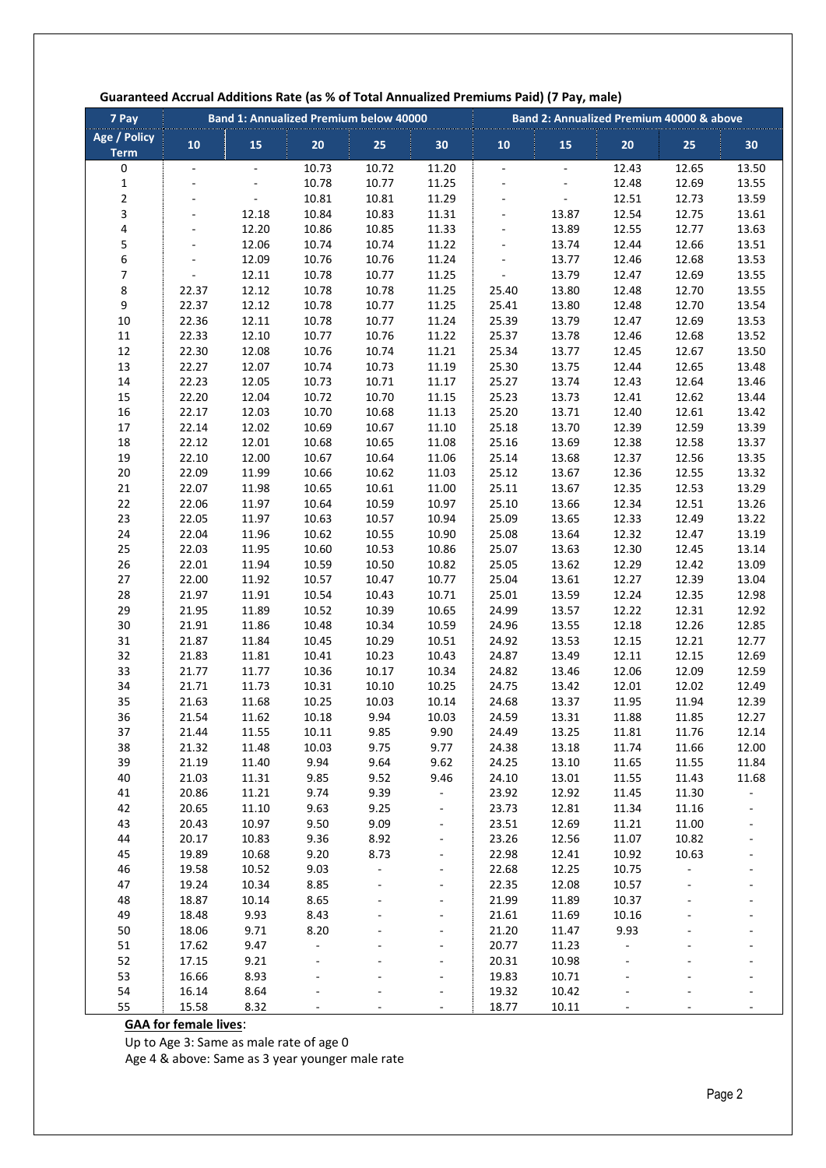| 7 Pay                       | <b>Band 1: Annualized Premium below 40000</b> |                |                |                |                          | Band 2: Annualized Premium 40000 & above |                          |                |                |                          |
|-----------------------------|-----------------------------------------------|----------------|----------------|----------------|--------------------------|------------------------------------------|--------------------------|----------------|----------------|--------------------------|
| Age / Policy<br><b>Term</b> | 10                                            | 15             | 20             | 25             | 30                       | 10                                       | 15                       | 20             | 25             | 30                       |
| 0                           | $\omega$                                      | $\omega$       | 10.73          | 10.72          | 11.20                    | L,                                       | $\omega$                 | 12.43          | 12.65          | 13.50                    |
| 1                           |                                               |                | 10.78          | 10.77          | 11.25                    | $\overline{a}$                           |                          | 12.48          | 12.69          | 13.55                    |
| $\overline{\mathbf{c}}$     |                                               |                | 10.81          | 10.81          | 11.29                    | $\overline{a}$                           | $\overline{\phantom{0}}$ | 12.51          | 12.73          | 13.59                    |
| 3                           |                                               | 12.18          | 10.84          | 10.83          | 11.31                    |                                          | 13.87                    | 12.54          | 12.75          | 13.61                    |
| 4                           |                                               | 12.20          | 10.86          | 10.85          | 11.33                    |                                          | 13.89                    | 12.55          | 12.77          | 13.63                    |
| 5                           | ÷,                                            | 12.06          | 10.74          | 10.74          | 11.22                    | ÷,                                       | 13.74                    | 12.44          | 12.66          | 13.51                    |
| 6                           |                                               | 12.09          | 10.76          | 10.76          | 11.24                    | ÷,                                       | 13.77                    | 12.46          | 12.68          | 13.53                    |
| 7                           | $\overline{a}$                                | 12.11          | 10.78          | 10.77          | 11.25                    | $\Box$                                   | 13.79                    | 12.47          | 12.69          | 13.55                    |
| 8                           | 22.37                                         | 12.12          | 10.78          | 10.78          | 11.25                    | 25.40                                    | 13.80                    | 12.48          | 12.70          | 13.55                    |
| 9                           | 22.37                                         | 12.12          | 10.78          | 10.77          | 11.25                    | 25.41                                    | 13.80                    | 12.48          | 12.70          | 13.54                    |
| $10\,$                      | 22.36                                         | 12.11          | 10.78          | 10.77          | 11.24                    | 25.39                                    | 13.79                    | 12.47          | 12.69          | 13.53                    |
| $11\,$                      | 22.33                                         | 12.10          | 10.77          | 10.76          | 11.22                    | 25.37                                    | 13.78                    | 12.46          | 12.68          | 13.52                    |
| 12                          | 22.30                                         | 12.08          | 10.76          | 10.74          | 11.21                    | 25.34                                    | 13.77                    | 12.45          | 12.67          | 13.50                    |
| 13                          | 22.27                                         | 12.07          | 10.74          | 10.73          | 11.19                    | 25.30                                    | 13.75                    | 12.44          | 12.65          | 13.48                    |
| 14                          | 22.23                                         | 12.05          | 10.73          | 10.71          | 11.17                    | 25.27                                    | 13.74                    | 12.43          | 12.64          | 13.46                    |
| 15                          | 22.20                                         | 12.04          | 10.72          | 10.70          | 11.15                    | 25.23                                    | 13.73                    | 12.41          | 12.62          | 13.44                    |
| 16                          | 22.17                                         | 12.03          | 10.70          | 10.68          | 11.13                    | 25.20                                    | 13.71<br>13.70           | 12.40          | 12.61          | 13.42                    |
| $17\,$<br>18                | 22.14<br>22.12                                | 12.02<br>12.01 | 10.69<br>10.68 | 10.67<br>10.65 | 11.10                    | 25.18<br>25.16                           | 13.69                    | 12.39<br>12.38 | 12.59<br>12.58 | 13.39<br>13.37           |
| 19                          | 22.10                                         | 12.00          | 10.67          | 10.64          | 11.08<br>11.06           | 25.14                                    | 13.68                    | 12.37          | 12.56          | 13.35                    |
| $20\,$                      | 22.09                                         | 11.99          | 10.66          | 10.62          | 11.03                    | 25.12                                    | 13.67                    | 12.36          | 12.55          | 13.32                    |
| 21                          | 22.07                                         | 11.98          | 10.65          | 10.61          | 11.00                    | 25.11                                    | 13.67                    | 12.35          | 12.53          | 13.29                    |
| 22                          | 22.06                                         | 11.97          | 10.64          | 10.59          | 10.97                    | 25.10                                    | 13.66                    | 12.34          | 12.51          | 13.26                    |
| 23                          | 22.05                                         | 11.97          | 10.63          | 10.57          | 10.94                    | 25.09                                    | 13.65                    | 12.33          | 12.49          | 13.22                    |
| 24                          | 22.04                                         | 11.96          | 10.62          | 10.55          | 10.90                    | 25.08                                    | 13.64                    | 12.32          | 12.47          | 13.19                    |
| 25                          | 22.03                                         | 11.95          | 10.60          | 10.53          | 10.86                    | 25.07                                    | 13.63                    | 12.30          | 12.45          | 13.14                    |
| 26                          | 22.01                                         | 11.94          | 10.59          | 10.50          | 10.82                    | 25.05                                    | 13.62                    | 12.29          | 12.42          | 13.09                    |
| 27                          | 22.00                                         | 11.92          | 10.57          | 10.47          | 10.77                    | 25.04                                    | 13.61                    | 12.27          | 12.39          | 13.04                    |
| 28                          | 21.97                                         | 11.91          | 10.54          | 10.43          | 10.71                    | 25.01                                    | 13.59                    | 12.24          | 12.35          | 12.98                    |
| 29                          | 21.95                                         | 11.89          | 10.52          | 10.39          | 10.65                    | 24.99                                    | 13.57                    | 12.22          | 12.31          | 12.92                    |
| 30                          | 21.91                                         | 11.86          | 10.48          | 10.34          | 10.59                    | 24.96                                    | 13.55                    | 12.18          | 12.26          | 12.85                    |
| 31                          | 21.87                                         | 11.84          | 10.45          | 10.29          | 10.51                    | 24.92                                    | 13.53                    | 12.15          | 12.21          | 12.77                    |
| 32                          | 21.83                                         | 11.81          | 10.41          | 10.23          | 10.43                    | 24.87                                    | 13.49                    | 12.11          | 12.15          | 12.69                    |
| 33                          | 21.77                                         | 11.77          | 10.36          | 10.17          | 10.34                    | 24.82                                    | 13.46                    | 12.06          | 12.09          | 12.59                    |
| 34                          | 21.71                                         | 11.73          | 10.31          | 10.10          | 10.25                    | 24.75                                    | 13.42                    | 12.01          | 12.02          | 12.49                    |
| 35                          | 21.63                                         | 11.68          | 10.25          | 10.03          | 10.14                    | 24.68                                    | 13.37                    | 11.95          | 11.94          | 12.39                    |
| 36                          | 21.54                                         | 11.62          | 10.18          | 9.94           | 10.03                    | 24.59                                    | 13.31                    | 11.88          | 11.85          | 12.27                    |
| 37                          | 21.44                                         | 11.55          | 10.11          | 9.85           | 9.90                     | 24.49                                    | 13.25                    | 11.81          | 11.76          | 12.14                    |
| 38                          | 21.32                                         | 11.48          | 10.03          | 9.75           | 9.77                     | 24.38                                    | 13.18                    | 11.74          | 11.66          | 12.00                    |
| 39                          | 21.19                                         | 11.40          | 9.94           | 9.64           | 9.62                     | 24.25                                    | 13.10                    | 11.65          | 11.55          | 11.84                    |
| 40                          | 21.03                                         | 11.31          | 9.85           | 9.52           | 9.46                     | 24.10                                    | 13.01                    | 11.55          | 11.43          | 11.68                    |
| 41                          | 20.86                                         | 11.21          | 9.74           | 9.39           | ÷,                       | 23.92                                    | 12.92                    | 11.45          | 11.30          |                          |
| 42                          | 20.65                                         | 11.10          | 9.63           | 9.25           | -                        | 23.73                                    | 12.81                    | 11.34          | 11.16          |                          |
| 43                          | 20.43                                         | 10.97          | 9.50           | 9.09           | $\overline{\phantom{0}}$ | 23.51                                    | 12.69                    | 11.21          | 11.00          | $\blacksquare$           |
| 44                          | 20.17                                         | 10.83          | 9.36           | 8.92           | $\overline{\phantom{a}}$ | 23.26                                    | 12.56                    | 11.07          | 10.82          |                          |
| 45                          | 19.89                                         | 10.68          | 9.20           | 8.73           | $\overline{\phantom{a}}$ | 22.98                                    | 12.41                    | 10.92          | 10.63          |                          |
| 46                          | 19.58                                         | 10.52          | 9.03           | ÷,             |                          | 22.68                                    | 12.25<br>12.08           | 10.75          |                |                          |
| 47<br>48                    | 19.24<br>18.87                                | 10.34<br>10.14 | 8.85<br>8.65   |                | $\overline{a}$           | 22.35<br>21.99                           | 11.89                    | 10.57<br>10.37 |                |                          |
| 49                          | 18.48                                         | 9.93           | 8.43           |                | ÷,                       | 21.61                                    | 11.69                    | 10.16          |                |                          |
| $50\,$                      | 18.06                                         | 9.71           | 8.20           |                |                          | 21.20                                    | 11.47                    | 9.93           |                |                          |
| 51                          | 17.62                                         | 9.47           | ÷,             |                |                          | 20.77                                    | 11.23                    |                |                |                          |
| 52                          | 17.15                                         | 9.21           |                |                |                          | 20.31                                    | 10.98                    |                |                |                          |
| 53                          | 16.66                                         | 8.93           |                |                | $\overline{\phantom{0}}$ | 19.83                                    | 10.71                    |                |                |                          |
| 54                          | 16.14                                         | 8.64           |                |                | $\overline{a}$           | 19.32                                    | 10.42                    |                |                |                          |
| 55                          | 15.58                                         | 8.32           | ä,             |                | $\overline{\phantom{a}}$ | 18.77                                    | 10.11                    |                |                | $\overline{\phantom{a}}$ |

### **Guaranteed Accrual Additions Rate (as % of Total Annualized Premiums Paid) (7 Pay, male)**

### **GAA for female lives**:

Up to Age 3: Same as male rate of age 0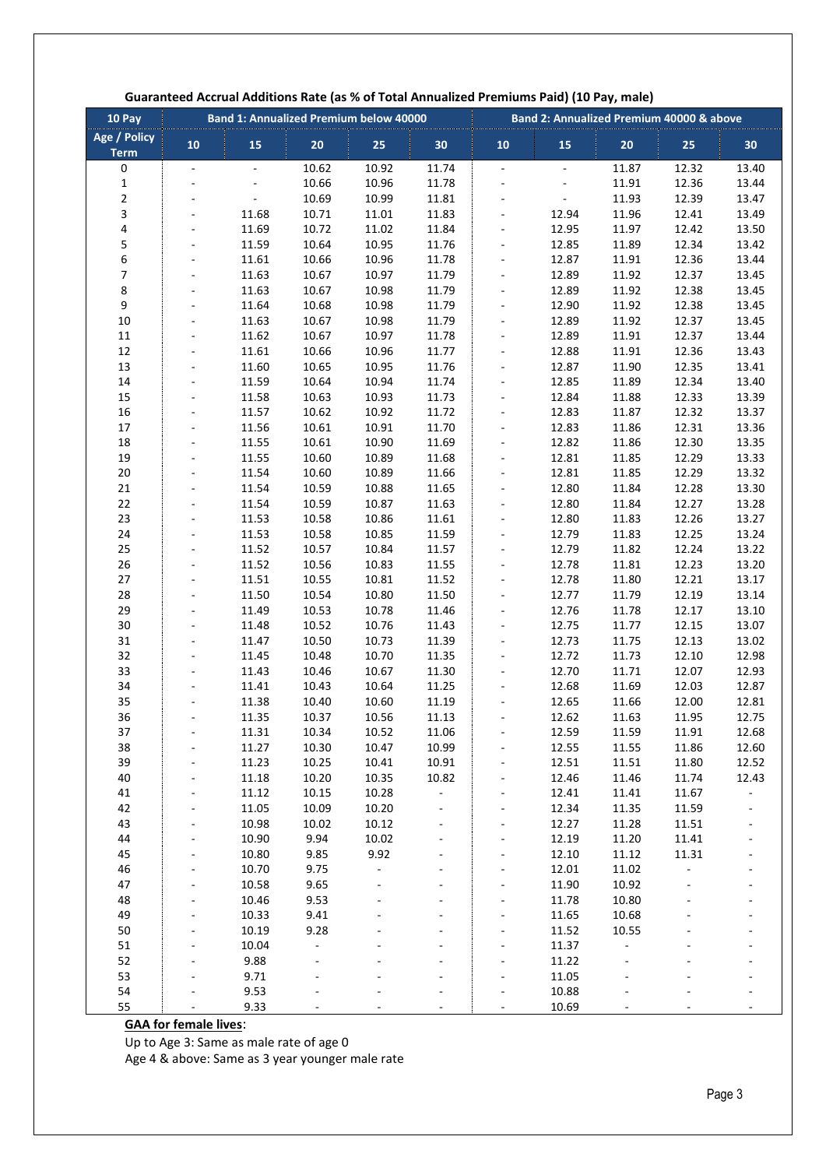| 10 Pay                      | <b>Band 1: Annualized Premium below 40000</b> |                          |                |                |                          | Band 2: Annualized Premium 40000 & above |                          |                |                |                |
|-----------------------------|-----------------------------------------------|--------------------------|----------------|----------------|--------------------------|------------------------------------------|--------------------------|----------------|----------------|----------------|
| Age / Policy<br><b>Term</b> | 10                                            | 15                       | 20             | 25             | 30                       | 10                                       | 15                       | 20             | 25             | 30             |
| 0                           | $\blacksquare$                                | $\overline{\phantom{a}}$ | 10.62          | 10.92          | 11.74                    | $\overline{\phantom{a}}$                 | $\overline{\phantom{a}}$ | 11.87          | 12.32          | 13.40          |
| $\mathbf 1$                 |                                               |                          | 10.66          | 10.96          | 11.78                    | ÷,                                       |                          | 11.91          | 12.36          | 13.44          |
| $\overline{\mathbf{c}}$     |                                               |                          | 10.69          | 10.99          | 11.81                    |                                          | ÷,                       | 11.93          | 12.39          | 13.47          |
| 3                           |                                               | 11.68                    | 10.71          | 11.01          | 11.83                    | ÷,                                       | 12.94                    | 11.96          | 12.41          | 13.49          |
| 4                           |                                               | 11.69                    | 10.72          | 11.02          | 11.84                    | $\frac{1}{2}$                            | 12.95                    | 11.97          | 12.42          | 13.50          |
| 5                           |                                               | 11.59                    | 10.64          | 10.95          | 11.76                    | $\overline{\phantom{a}}$                 | 12.85                    | 11.89          | 12.34          | 13.42          |
| 6                           | $\overline{\phantom{m}}$                      | 11.61                    | 10.66          | 10.96          | 11.78                    | $\overline{\phantom{a}}$                 | 12.87                    | 11.91          | 12.36          | 13.44          |
| $\overline{7}$              |                                               | 11.63                    | 10.67          | 10.97          | 11.79                    | ÷,                                       | 12.89                    | 11.92          | 12.37          | 13.45          |
| 8                           |                                               | 11.63                    | 10.67          | 10.98          | 11.79                    |                                          | 12.89                    | 11.92          | 12.38          | 13.45          |
| 9                           |                                               | 11.64                    | 10.68          | 10.98          | 11.79                    | ÷,                                       | 12.90                    | 11.92          | 12.38          | 13.45          |
| 10                          |                                               | 11.63                    | 10.67          | 10.98          | 11.79                    | $\frac{1}{2}$                            | 12.89                    | 11.92          | 12.37          | 13.45          |
| 11                          |                                               | 11.62                    | 10.67          | 10.97          | 11.78                    | $\overline{\phantom{a}}$                 | 12.89                    | 11.91          | 12.37          | 13.44          |
| 12                          | $\overline{\phantom{a}}$                      | 11.61                    | 10.66          | 10.96          | 11.77                    | $\overline{\phantom{a}}$                 | 12.88                    | 11.91          | 12.36          | 13.43          |
| 13<br>14                    |                                               | 11.60<br>11.59           | 10.65<br>10.64 | 10.95<br>10.94 | 11.76<br>11.74           | $\overline{a}$                           | 12.87<br>12.85           | 11.90<br>11.89 | 12.35<br>12.34 | 13.41<br>13.40 |
| 15                          |                                               | 11.58                    | 10.63          | 10.93          | 11.73                    | ÷,                                       | 12.84                    | 11.88          | 12.33          | 13.39          |
| 16                          |                                               | 11.57                    | 10.62          | 10.92          | 11.72                    | $\overline{\phantom{a}}$                 | 12.83                    | 11.87          | 12.32          | 13.37          |
| 17                          |                                               | 11.56                    | 10.61          | 10.91          | 11.70                    | $\overline{\phantom{a}}$                 | 12.83                    | 11.86          | 12.31          | 13.36          |
| 18                          | ÷.                                            | 11.55                    | 10.61          | 10.90          | 11.69                    | ÷,                                       | 12.82                    | 11.86          | 12.30          | 13.35          |
| 19                          |                                               | 11.55                    | 10.60          | 10.89          | 11.68                    | ÷,                                       | 12.81                    | 11.85          | 12.29          | 13.33          |
| 20                          |                                               | 11.54                    | 10.60          | 10.89          | 11.66                    |                                          | 12.81                    | 11.85          | 12.29          | 13.32          |
| 21                          |                                               | 11.54                    | 10.59          | 10.88          | 11.65                    | ÷,                                       | 12.80                    | 11.84          | 12.28          | 13.30          |
| 22                          |                                               | 11.54                    | 10.59          | 10.87          | 11.63                    | $\frac{1}{2}$                            | 12.80                    | 11.84          | 12.27          | 13.28          |
| 23                          |                                               | 11.53                    | 10.58          | 10.86          | 11.61                    | ÷,                                       | 12.80                    | 11.83          | 12.26          | 13.27          |
| 24                          | ÷.                                            | 11.53                    | 10.58          | 10.85          | 11.59                    | ÷,                                       | 12.79                    | 11.83          | 12.25          | 13.24          |
| 25                          |                                               | 11.52                    | 10.57          | 10.84          | 11.57                    | ÷,                                       | 12.79                    | 11.82          | 12.24          | 13.22          |
| 26                          |                                               | 11.52                    | 10.56          | 10.83          | 11.55                    | ÷,                                       | 12.78                    | 11.81          | 12.23          | 13.20          |
| 27                          |                                               | 11.51                    | 10.55          | 10.81          | 11.52                    | ÷,                                       | 12.78                    | 11.80          | 12.21          | 13.17          |
| 28                          | ÷,                                            | 11.50                    | 10.54          | 10.80          | 11.50                    | $\overline{\phantom{0}}$                 | 12.77                    | 11.79          | 12.19          | 13.14          |
| 29                          |                                               | 11.49                    | 10.53          | 10.78          | 11.46                    | $\overline{\phantom{a}}$                 | 12.76                    | 11.78          | 12.17          | 13.10          |
| 30                          | ÷.                                            | 11.48                    | 10.52          | 10.76          | 11.43                    | ÷,                                       | 12.75                    | 11.77          | 12.15          | 13.07          |
| 31                          |                                               | 11.47                    | 10.50          | 10.73          | 11.39                    | ÷,                                       | 12.73                    | 11.75          | 12.13          | 13.02          |
| 32                          |                                               | 11.45                    | 10.48          | 10.70          | 11.35                    | ÷,                                       | 12.72                    | 11.73          | 12.10          | 12.98          |
| 33                          |                                               | 11.43                    | 10.46          | 10.67          | 11.30                    | ÷,                                       | 12.70                    | 11.71          | 12.07          | 12.93          |
| 34                          |                                               | 11.41                    | 10.43          | 10.64          | 11.25                    | $\frac{1}{2}$                            | 12.68                    | 11.69          | 12.03          | 12.87          |
| 35                          |                                               | 11.38                    | 10.40          | 10.60          | 11.19                    | ÷,                                       | 12.65                    | 11.66          | 12.00          | 12.81          |
| 36                          |                                               | 11.35                    | 10.37          | 10.56          | 11.13                    | ÷,                                       | 12.62                    | 11.63          | 11.95          | 12.75          |
| 37                          |                                               | 11.31                    | 10.34          | 10.52          | 11.06                    | $\overline{\phantom{a}}$                 | 12.59                    | 11.59          | 11.91          | 12.68          |
| 38                          |                                               | 11.27                    | 10.30          | 10.47          | 10.99                    |                                          | 12.55                    | 11.55          | 11.86          | 12.60          |
| 39                          |                                               | 11.23                    | 10.25          | 10.41          | 10.91                    |                                          | 12.51                    | 11.51          | 11.80          | 12.52          |
| 40                          |                                               | 11.18                    | 10.20          | 10.35          | 10.82                    | ÷                                        | 12.46                    | 11.46          | 11.74          | 12.43          |
| 41                          |                                               | 11.12                    | 10.15          | 10.28          | $\overline{\phantom{a}}$ |                                          | 12.41                    | 11.41          | 11.67          |                |
| 42                          |                                               | 11.05                    | 10.09          | 10.20          |                          | L.                                       | 12.34                    | 11.35          | 11.59          |                |
| 43<br>44                    |                                               | 10.98                    | 10.02<br>9.94  | 10.12          |                          |                                          | 12.27                    | 11.28          | 11.51          |                |
| 45                          |                                               | 10.90<br>10.80           | 9.85           | 10.02<br>9.92  |                          |                                          | 12.19<br>12.10           | 11.20<br>11.12 | 11.41<br>11.31 |                |
| 46                          |                                               | 10.70                    | 9.75           | $\blacksquare$ |                          |                                          | 12.01                    | 11.02          | $\overline{a}$ |                |
| 47                          |                                               | 10.58                    | 9.65           |                |                          |                                          | 11.90                    | 10.92          |                |                |
| 48                          |                                               | 10.46                    | 9.53           |                |                          |                                          | 11.78                    | 10.80          |                |                |
| 49                          |                                               | 10.33                    | 9.41           |                |                          |                                          | 11.65                    | 10.68          |                |                |
| 50                          |                                               | 10.19                    | 9.28           |                |                          |                                          | 11.52                    | 10.55          |                |                |
| 51                          |                                               | 10.04                    |                |                |                          |                                          | 11.37                    |                |                |                |
| 52                          |                                               | 9.88                     |                |                |                          |                                          | 11.22                    |                |                |                |
| 53                          |                                               | 9.71                     |                |                |                          |                                          | 11.05                    |                |                |                |
| 54                          |                                               | 9.53                     |                |                |                          |                                          | 10.88                    |                |                |                |
| 55                          |                                               | 9.33                     |                |                |                          |                                          | 10.69                    |                |                |                |

### **Guaranteed Accrual Additions Rate (as % of Total Annualized Premiums Paid) (10 Pay, male)**

## **GAA for female lives**:

Up to Age 3: Same as male rate of age 0